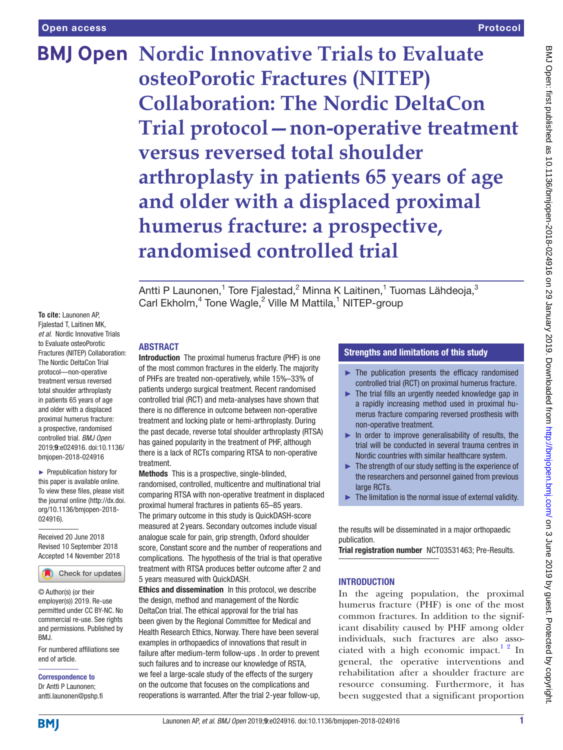**BMJ Open Nordic Innovative Trials to Evaluate osteoPorotic Fractures (NITEP) Collaboration: The Nordic DeltaCon Trial protocol—non-operative treatment versus reversed total shoulder arthroplasty in patients 65 years of age and older with a displaced proximal humerus fracture: a prospective, randomised controlled trial**

> Antti P Launonen, $^1$  Tore Fjalestad, $^2$  Minna K Laitinen, $^1$  Tuomas Lähdeoja, $^3$ Carl Ekholm,<sup>4</sup> Tone Wagle,<sup>2</sup> Ville M Mattila,<sup>1</sup> NITEP-group

**To cite:** Launonen AP, Fjalestad T, Laitinen MK, *et al*. Nordic Innovative Trials to Evaluate osteoPorotic Fractures (NITEP) Collaboration: The Nordic DeltaCon Trial protocol—non-operative treatment versus reversed total shoulder arthroplasty in patients 65 years of age and older with a displaced proximal humerus fracture: a prospective, randomised controlled trial. *BMJ Open* 2019;9:e024916. doi:10.1136/ bmjopen-2018-024916

► Prepublication history for this paper is available online. To view these files, please visit the journal online [\(http://dx.doi.](http://dx.doi.org/10.1136/bmjopen-2018-024916) [org/10.1136/bmjopen-2018-](http://dx.doi.org/10.1136/bmjopen-2018-024916) [024916\)](http://dx.doi.org/10.1136/bmjopen-2018-024916).

Received 20 June 2018 Revised 10 September 2018 Accepted 14 November 2018

Check for updates

© Author(s) (or their employer(s)) 2019. Re-use permitted under CC BY-NC. No commercial re-use. See rights and permissions. Published by BMJ.

For numbered affiliations see end of article.

Correspondence to Dr Antti P Launonen; antti.launonen@pshp.fi

# **ABSTRACT**

Introduction The proximal humerus fracture (PHF) is one of the most common fractures in the elderly. The majority of PHFs are treated non-operatively, while 15%–33% of patients undergo surgical treatment. Recent randomised controlled trial (RCT) and meta-analyses have shown that there is no difference in outcome between non-operative treatment and locking plate or hemi-arthroplasty. During the past decade, reverse total shoulder arthroplasty (RTSA) has gained popularity in the treatment of PHF, although there is a lack of RCTs comparing RTSA to non-operative treatment.

Methods This is a prospective, single-blinded, randomised, controlled, multicentre and multinational trial comparing RTSA with non-operative treatment in displaced proximal humeral fractures in patients 65–85 years. The primary outcome in this study is QuickDASH-score measured at 2 years. Secondary outcomes include visual analogue scale for pain, grip strength, Oxford shoulder score, Constant score and the number of reoperations and complications. The hypothesis of the trial is that operative treatment with RTSA produces better outcome after 2 and 5 years measured with QuickDASH.

Ethics and dissemination In this protocol, we describe the design, method and management of the Nordic DeltaCon trial. The ethical approval for the trial has been given by the Regional Committee for Medical and Health Research Ethics, Norway. There have been several examples in orthopaedics of innovations that result in failure after medium-term follow-ups . In order to prevent such failures and to increase our knowledge of RSTA, we feel a large-scale study of the effects of the surgery on the outcome that focuses on the complications and reoperations is warranted. After the trial 2-year follow-up,

### Strengths and limitations of this study

- $\blacktriangleright$  The publication presents the efficacy randomised controlled trial (RCT) on proximal humerus fracture.
- ► The trial fills an urgently needed knowledge gap in a rapidly increasing method used in proximal humerus fracture comparing reversed prosthesis with non-operative treatment.
- ► In order to improve generalisability of results, the trial will be conducted in several trauma centres in Nordic countries with similar healthcare system.
- $\blacktriangleright$  The strength of our study setting is the experience of the researchers and personnel gained from previous large RCTs.
- $\blacktriangleright$  The limitation is the normal issue of external validity.

the results will be disseminated in a major orthopaedic publication.

Trial registration number NCT03531463: Pre-Results.

#### **INTRODUCTION**

In the ageing population, the proximal humerus fracture (PHF) is one of the most common fractures. In addition to the significant disability caused by PHF among older individuals, such fractures are also associated with a high economic impact.<sup>1 2</sup> In general, the operative interventions and rehabilitation after a shoulder fracture are resource consuming. Furthermore, it has been suggested that a significant proportion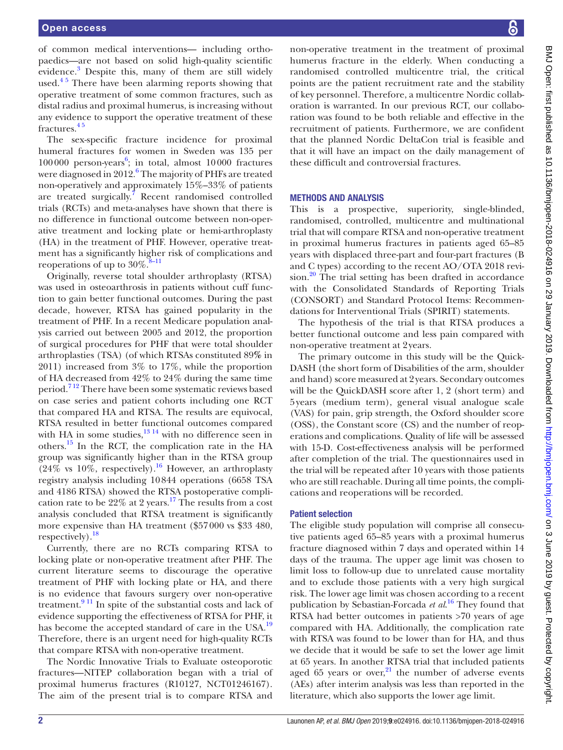of common medical interventions— including orthopaedics—are not based on solid high-quality scientific evidence[.3](#page-6-1) Despite this, many of them are still widely used.<sup>45</sup> There have been alarming reports showing that operative treatment of some common fractures, such as distal radius and proximal humerus, is increasing without any evidence to support the operative treatment of these fractures[.4 5](#page-6-2)

The sex-specific fracture incidence for proximal humeral fractures for women in Sweden was 135 per 100000 person-years<sup>[6](#page-6-3)</sup>; in total, almost 10000 fractures were diagnosed in 2012.<sup>6</sup> The majority of PHFs are treated non-operatively and approximately 15%–33% of patients are treated surgically.<sup>[7](#page-6-4)</sup> Recent randomised controlled trials (RCTs) and meta-analyses have shown that there is no difference in functional outcome between non-operative treatment and locking plate or hemi-arthroplasty (HA) in the treatment of PHF. However, operative treatment has a significantly higher risk of complications and reoperations of up to  $30\%.$ <sup>8–11</sup>

Originally, reverse total shoulder arthroplasty (RTSA) was used in osteoarthrosis in patients without cuff function to gain better functional outcomes. During the past decade, however, RTSA has gained popularity in the treatment of PHF. In a recent Medicare population analysis carried out between 2005 and 2012, the proportion of surgical procedures for PHF that were total shoulder arthroplasties (TSA) (of which RTSAs constituted 89**%** in 2011) increased from 3% to 17%, while the proportion of HA decreased from 42% to 24% during the same time period[.7 12](#page-6-4) There have been some systematic reviews based on case series and patient cohorts including one RCT that compared HA and RTSA. The results are equivocal, RTSA resulted in better functional outcomes compared with HA in some studies, $^{13}$ <sup>14</sup> with no difference seen in others.[15](#page-6-7) In the RCT, the complication rate in the HA group was significantly higher than in the RTSA group  $(24\% \text{ vs } 10\%, \text{ respectively})$ .<sup>16</sup> However, an arthroplasty registry analysis including 10844 operations (6658 TSA and 4186 RTSA) showed the RTSA postoperative complication rate to be  $22\%$  at 2 years.<sup>17</sup> The results from a cost analysis concluded that RTSA treatment is significantly more expensive than HA treatment (\$57000 vs \$33 480, respectively).[18](#page-6-10)

Currently, there are no RCTs comparing RTSA to locking plate or non-operative treatment after PHF. The current literature seems to discourage the operative treatment of PHF with locking plate or HA, and there is no evidence that favours surgery over non-operative treatment[.9 11](#page-6-11) In spite of the substantial costs and lack of evidence supporting the effectiveness of RTSA for PHF, it has become the accepted standard of care in the USA.<sup>19</sup> Therefore, there is an urgent need for high-quality RCTs that compare RTSA with non-operative treatment.

The Nordic Innovative Trials to Evaluate osteoporotic fractures—NITEP collaboration began with a trial of proximal humerus fractures (R10127, NCT01246167). The aim of the present trial is to compare RTSA and

non-operative treatment in the treatment of proximal humerus fracture in the elderly. When conducting a randomised controlled multicentre trial, the critical points are the patient recruitment rate and the stability of key personnel. Therefore, a multicentre Nordic collaboration is warranted. In our previous RCT, our collaboration was found to be both reliable and effective in the recruitment of patients. Furthermore, we are confident that the planned Nordic DeltaCon trial is feasible and that it will have an impact on the daily management of these difficult and controversial fractures.

#### Methods and analysis

This is a prospective, superiority, single-blinded, randomised, controlled, multicentre and multinational trial that will compare RTSA and non-operative treatment in proximal humerus fractures in patients aged 65–85 years with displaced three-part and four-part fractures (B and C types) according to the recent AO/OTA 2018 revision. $20$  The trial setting has been drafted in accordance with the Consolidated Standards of Reporting Trials (CONSORT) and Standard Protocol Items: Recommendations for Interventional Trials (SPIRIT) statements.

The hypothesis of the trial is that RTSA produces a better functional outcome and less pain compared with non-operative treatment at 2years.

The primary outcome in this study will be the Quick-DASH (the short form of Disabilities of the arm, shoulder and hand) score measured at 2years. Secondary outcomes will be the QuickDASH score after 1, 2 (short term) and 5years (medium term), general visual analogue scale (VAS) for pain, grip strength, the Oxford shoulder score (OSS), the Constant score (CS) and the number of reoperations and complications. Quality of life will be assessed with 15-D. Cost-effectiveness analysis will be performed after completion of the trial. The questionnaires used in the trial will be repeated after 10 years with those patients who are still reachable. During all time points, the complications and reoperations will be recorded.

#### Patient selection

The eligible study population will comprise all consecutive patients aged 65–85 years with a proximal humerus fracture diagnosed within 7 days and operated within 14 days of the trauma. The upper age limit was chosen to limit loss to follow-up due to unrelated cause mortality and to exclude those patients with a very high surgical risk. The lower age limit was chosen according to a recent publication by Sebastian-Forcada *et al*. [16](#page-6-8) They found that RTSA had better outcomes in patients >70 years of age compared with HA. Additionally, the complication rate with RTSA was found to be lower than for HA, and thus we decide that it would be safe to set the lower age limit at 65 years. In another RTSA trial that included patients aged  $65$  years or over,<sup>21</sup> the number of adverse events (AEs) after interim analysis was less than reported in the literature, which also supports the lower age limit.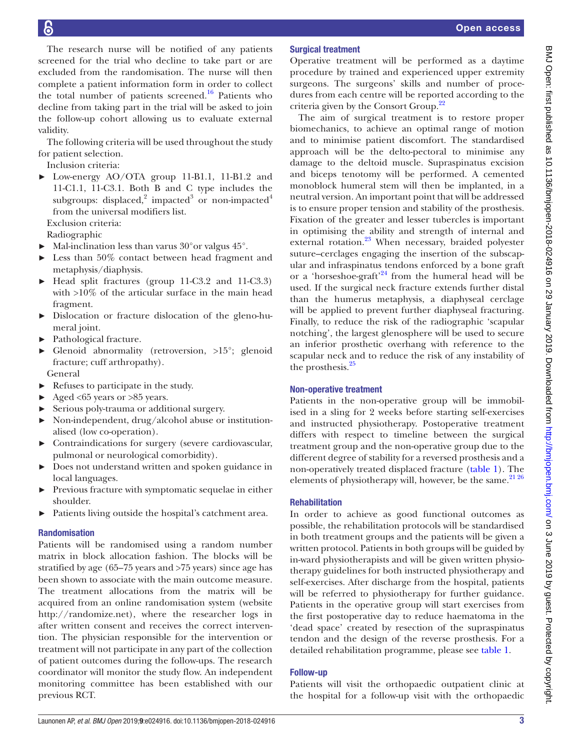The research nurse will be notified of any patients screened for the trial who decline to take part or are excluded from the randomisation. The nurse will then complete a patient information form in order to collect the total number of patients screened.<sup>16</sup> Patients who decline from taking part in the trial will be asked to join the follow-up cohort allowing us to evaluate external validity.

The following criteria will be used throughout the study for patient selection.

Inclusion criteria:

► Low-energy AO/OTA group 11-B1.1, 11-B1.2 and 11-C1.1, 11-C3.1. Both B and C type includes the subgroups: displaced, $^2$  impacted $^3$  or non-impacted $^4$ from the universal modifiers list. Exclusion criteria:

Radiographic

- $\blacktriangleright$  Mal-inclination less than varus 30° or valgus 45°.
- ► Less than 50% contact between head fragment and metaphysis/diaphysis.
- ► Head split fractures (group 11-C3.2 and 11-C3.3) with >10% of the articular surface in the main head fragment.
- ► Dislocation or fracture dislocation of the gleno-humeral joint.
- ► Pathological fracture.
- ► Glenoid abnormality (retroversion, >15°; glenoid fracture; cuff arthropathy). General
- ► Refuses to participate in the study.
- ► Aged <65 years or >85 years.
- ► Serious poly-trauma or additional surgery.
- ► Non-independent, drug/alcohol abuse or institutionalised (low co-operation).
- ► Contraindications for surgery (severe cardiovascular, pulmonal or neurological comorbidity).
- ► Does not understand written and spoken guidance in local languages.
- ► Previous fracture with symptomatic sequelae in either shoulder.
- ► Patients living outside the hospital's catchment area.

## Randomisation

Patients will be randomised using a random number matrix in block allocation fashion. The blocks will be stratified by age (65–75 years and >75 years) since age has been shown to associate with the main outcome measure. The treatment allocations from the matrix will be acquired from an online randomisation system (website <http://randomize.net>), where the researcher logs in after written consent and receives the correct intervention. The physician responsible for the intervention or treatment will not participate in any part of the collection of patient outcomes during the follow-ups. The research coordinator will monitor the study flow. An independent monitoring committee has been established with our previous RCT.

# Surgical treatment

Operative treatment will be performed as a daytime procedure by trained and experienced upper extremity surgeons. The surgeons' skills and number of procedures from each centre will be reported according to the criteria given by the Consort Group.<sup>22</sup>

The aim of surgical treatment is to restore proper biomechanics, to achieve an optimal range of motion and to minimise patient discomfort. The standardised approach will be the delto-pectoral to minimise any damage to the deltoid muscle. Supraspinatus excision and biceps tenotomy will be performed. A cemented monoblock humeral stem will then be implanted, in a neutral version. An important point that will be addressed is to ensure proper tension and stability of the prosthesis. Fixation of the greater and lesser tubercles is important in optimising the ability and strength of internal and external rotation.<sup>23</sup> When necessary, braided polyester suture–cerclages engaging the insertion of the subscapular and infraspinatus tendons enforced by a bone graft or a 'horseshoe-graft'<sup>24</sup> from the humeral head will be used. If the surgical neck fracture extends further distal than the humerus metaphysis, a diaphyseal cerclage will be applied to prevent further diaphyseal fracturing. Finally, to reduce the risk of the radiographic 'scapular notching', the largest glenosphere will be used to secure an inferior prosthetic overhang with reference to the scapular neck and to reduce the risk of any instability of the prosthesis.<sup>25</sup>

# Non-operative treatment

Patients in the non-operative group will be immobilised in a sling for 2 weeks before starting self-exercises and instructed physiotherapy. Postoperative treatment differs with respect to timeline between the surgical treatment group and the non-operative group due to the different degree of stability for a reversed prosthesis and a non-operatively treated displaced fracture [\(table](#page-3-0) 1). The elements of physiotherapy will, however, be the same.<sup>[21 26](#page-6-14)</sup>

## Rehabilitation

In order to achieve as good functional outcomes as possible, the rehabilitation protocols will be standardised in both treatment groups and the patients will be given a written protocol. Patients in both groups will be guided by in-ward physiotherapists and will be given written physiotherapy guidelines for both instructed physiotherapy and self-exercises. After discharge from the hospital, patients will be referred to physiotherapy for further guidance. Patients in the operative group will start exercises from the first postoperative day to reduce haematoma in the 'dead space' created by resection of the supraspinatus tendon and the design of the reverse prosthesis. For a detailed rehabilitation programme, please see [table](#page-3-0) 1.

## Follow-up

Patients will visit the orthopaedic outpatient clinic at the hospital for a follow-up visit with the orthopaedic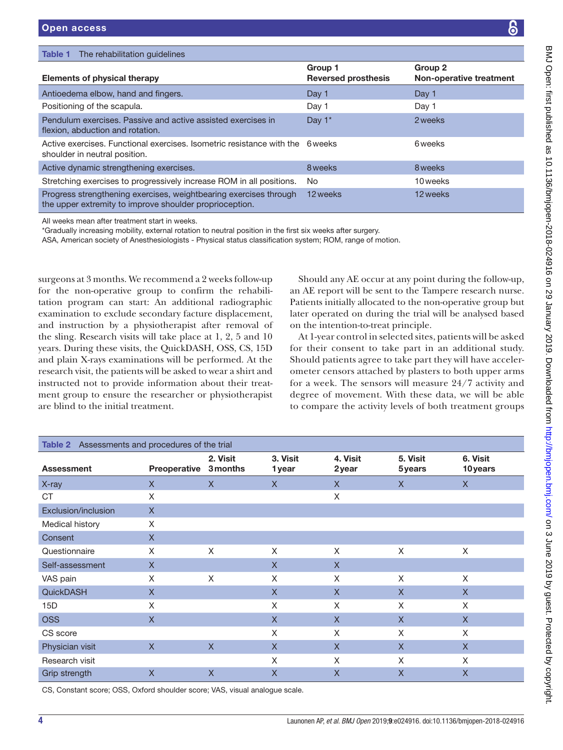| Elements of physical therapy                                                                                                 | Group 1<br><b>Reversed prosthesis</b> | Group 2<br>Non-operative treatment |
|------------------------------------------------------------------------------------------------------------------------------|---------------------------------------|------------------------------------|
| Antioedema elbow, hand and fingers.                                                                                          | Day 1                                 | Day 1                              |
| Positioning of the scapula.                                                                                                  | Day 1                                 | Day 1                              |
| Pendulum exercises. Passive and active assisted exercises in<br>flexion, abduction and rotation.                             | Day $1^*$                             | 2 weeks                            |
| Active exercises. Functional exercises, Isometric resistance with the 6 weeks<br>shoulder in neutral position.               |                                       | 6 weeks                            |
| Active dynamic strengthening exercises.                                                                                      | 8 weeks                               | 8 weeks                            |
| Stretching exercises to progressively increase ROM in all positions.                                                         | No.                                   | 10 weeks                           |
| Progress strengthening exercises, weightbearing exercises through<br>the upper extremity to improve shoulder proprioception. | 12 weeks                              | 12 weeks                           |

All weeks mean after treatment start in weeks.

<span id="page-3-0"></span>Table 1 The rehabilitation quidelines

\*Gradually increasing mobility, external rotation to neutral position in the first six weeks after surgery.

ASA, American society of Anesthesiologists - Physical status classification system; ROM, range of motion.

surgeons at 3 months. We recommend a 2 weeks follow-up for the non-operative group to confirm the rehabilitation program can start: An additional radiographic examination to exclude secondary facture displacement, and instruction by a physiotherapist after removal of the sling. Research visits will take place at 1, 2, 5 and 10 years. During these visits, the QuickDASH, OSS, CS, 15D and plain X-rays examinations will be performed. At the research visit, the patients will be asked to wear a shirt and instructed not to provide information about their treatment group to ensure the researcher or physiotherapist are blind to the initial treatment.

Should any AE occur at any point during the follow-up, an AE report will be sent to the Tampere research nurse. Patients initially allocated to the non-operative group but later operated on during the trial will be analysed based on the intention-to-treat principle.

At 1-year control in selected sites, patients will be asked for their consent to take part in an additional study. Should patients agree to take part they will have accelerometer censors attached by plasters to both upper arms for a week. The sensors will measure 24/7 activity and degree of movement. With these data, we will be able to compare the activity levels of both treatment groups

<span id="page-3-1"></span>

| Table 2 Assessments and procedures of the trial |                       |                           |                    |                   |                     |                           |  |  |
|-------------------------------------------------|-----------------------|---------------------------|--------------------|-------------------|---------------------|---------------------------|--|--|
| <b>Assessment</b>                               | Preoperative 3 months | 2. Visit                  | 3. Visit<br>1 year | 4. Visit<br>2year | 5. Visit<br>5 years | 6. Visit<br>10 years      |  |  |
| X-ray                                           | $\mathsf{X}$          | $\times$                  | X                  | X                 | $\mathsf{X}$        | $\mathsf{X}$              |  |  |
| <b>CT</b>                                       | X                     |                           |                    | X                 |                     |                           |  |  |
| Exclusion/inclusion                             | $\mathsf{X}$          |                           |                    |                   |                     |                           |  |  |
| Medical history                                 | X                     |                           |                    |                   |                     |                           |  |  |
| Consent                                         | $\mathsf{X}$          |                           |                    |                   |                     |                           |  |  |
| Questionnaire                                   | X                     | X                         | X                  | X                 | X                   | X                         |  |  |
| Self-assessment                                 | $\mathsf{X}$          |                           | X                  | X                 |                     |                           |  |  |
| VAS pain                                        | X                     | X                         | X                  | X                 | X                   | X                         |  |  |
| QuickDASH                                       | $\times$              |                           | $\sf X$            | X                 | $\mathsf{X}$        | $\mathsf{X}$              |  |  |
| 15D                                             | X                     |                           | X                  | X                 | X                   | X                         |  |  |
| <b>OSS</b>                                      | $\mathsf{X}$          |                           | $\mathsf{X}$       | $\mathsf{x}$      | $\mathsf{X}$        | $\mathsf{X}$              |  |  |
| CS score                                        |                       |                           | X                  | X                 | X                   | X                         |  |  |
| Physician visit                                 | $\mathsf{X}$          | $\mathsf{X}$              | $\mathsf{X}$       | $\mathsf{X}$      | $\mathsf{X}$        | $\mathsf{X}$              |  |  |
| Research visit                                  |                       |                           | X                  | X                 | X                   | X                         |  |  |
| Grip strength                                   | X                     | $\boldsymbol{\mathsf{X}}$ | X                  | X                 | X                   | $\boldsymbol{\mathsf{X}}$ |  |  |
| -------                                         |                       |                           |                    |                   |                     |                           |  |  |

CS, Constant score; OSS, Oxford shoulder score; VAS, visual analogue scale.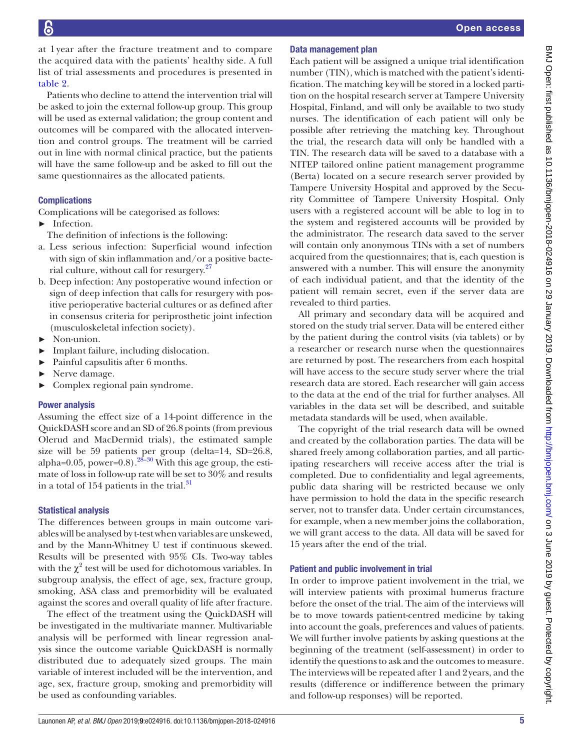at 1 year after the fracture treatment and to compare the acquired data with the patients' healthy side. A full list of trial assessments and procedures is presented in [table](#page-3-1) 2.

Patients who decline to attend the intervention trial will be asked to join the external follow-up group. This group will be used as external validation; the group content and outcomes will be compared with the allocated intervention and control groups. The treatment will be carried out in line with normal clinical practice, but the patients will have the same follow-up and be asked to fill out the same questionnaires as the allocated patients.

### **Complications**

Complications will be categorised as follows:

► Infection.

The definition of infections is the following:

- a. Less serious infection: Superficial wound infection with sign of skin inflammation and/or a positive bacterial culture, without call for resurgery[.27](#page-6-19)
- b. Deep infection: Any postoperative wound infection or sign of deep infection that calls for resurgery with positive perioperative bacterial cultures or as defined after in consensus criteria for periprosthetic joint infection (musculoskeletal infection society).
- Non-union.
- ► Implant failure, including dislocation.
- Painful capsulitis after 6 months.
- Nerve damage.
- ► Complex regional pain syndrome.

#### Power analysis

Assuming the effect size of a 14-point difference in the QuickDASH score and an SD of 26.8 points (from previous Olerud and MacDermid trials), the estimated sample size will be 59 patients per group (delta=14, SD=26.8, alpha=0.05, power=0.8).<sup>28–30</sup> With this age group, the estimate of loss in follow-up rate will be set to 30% and results in a total of 154 patients in the trial. $31$ 

#### Statistical analysis

The differences between groups in main outcome variables will be analysed by t-test when variables are unskewed, and by the Mann-Whitney U test if continuous skewed. Results will be presented with 95% CIs. Two-way tables with the  $\chi^2$  test will be used for dichotomous variables. In subgroup analysis, the effect of age, sex, fracture group, smoking, ASA class and premorbidity will be evaluated against the scores and overall quality of life after fracture.

The effect of the treatment using the QuickDASH will be investigated in the multivariate manner. Multivariable analysis will be performed with linear regression analysis since the outcome variable QuickDASH is normally distributed due to adequately sized groups. The main variable of interest included will be the intervention, and age, sex, fracture group, smoking and premorbidity will be used as confounding variables.

### Data management plan

Each patient will be assigned a unique trial identification number (TIN), which is matched with the patient's identification. The matching key will be stored in a locked partition on the hospital research server at Tampere University Hospital, Finland, and will only be available to two study nurses. The identification of each patient will only be possible after retrieving the matching key. Throughout the trial, the research data will only be handled with a TIN. The research data will be saved to a database with a NITEP tailored online patient management programme (Berta) located on a secure research server provided by Tampere University Hospital and approved by the Security Committee of Tampere University Hospital. Only users with a registered account will be able to log in to the system and registered accounts will be provided by the administrator. The research data saved to the server will contain only anonymous TINs with a set of numbers acquired from the questionnaires; that is, each question is answered with a number. This will ensure the anonymity of each individual patient, and that the identity of the patient will remain secret, even if the server data are revealed to third parties.

All primary and secondary data will be acquired and stored on the study trial server. Data will be entered either by the patient during the control visits (via tablets) or by a researcher or research nurse when the questionnaires are returned by post. The researchers from each hospital will have access to the secure study server where the trial research data are stored. Each researcher will gain access to the data at the end of the trial for further analyses. All variables in the data set will be described, and suitable metadata standards will be used, when available.

The copyright of the trial research data will be owned and created by the collaboration parties. The data will be shared freely among collaboration parties, and all participating researchers will receive access after the trial is completed. Due to confidentiality and legal agreements, public data sharing will be restricted because we only have permission to hold the data in the specific research server, not to transfer data. Under certain circumstances, for example, when a new member joins the collaboration, we will grant access to the data. All data will be saved for 15 years after the end of the trial.

#### Patient and public involvement in trial

In order to improve patient involvement in the trial, we will interview patients with proximal humerus fracture before the onset of the trial. The aim of the interviews will be to move towards patient-centred medicine by taking into account the goals, preferences and values of patients. We will further involve patients by asking questions at the beginning of the treatment (self-assessment) in order to identify the questions to ask and the outcomes to measure. The interviews will be repeated after 1 and 2years, and the results (difference or indifference between the primary and follow-up responses) will be reported.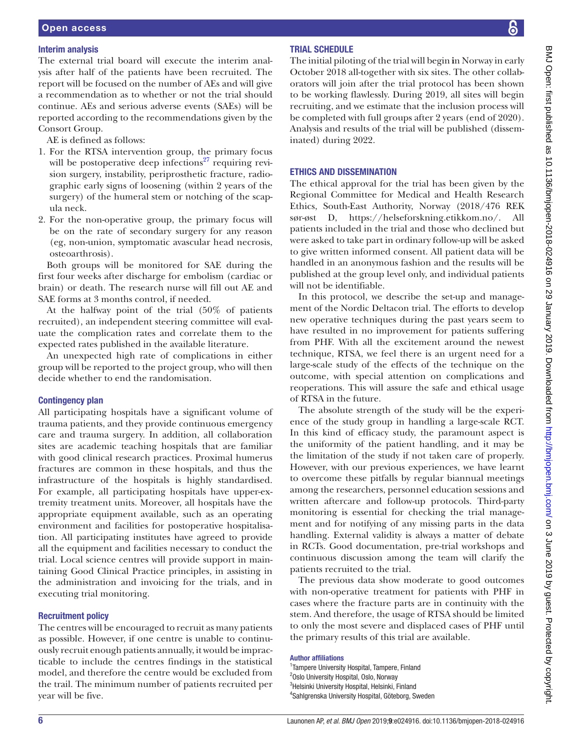### Interim analysis

The external trial board will execute the interim analysis after half of the patients have been recruited. The report will be focused on the number of AEs and will give a recommendation as to whether or not the trial should continue. AEs and serious adverse events (SAEs) will be reported according to the recommendations given by the Consort Group.

AE is defined as follows:

- 1. For the RTSA intervention group, the primary focus will be postoperative deep infections $27$  requiring revision surgery, instability, periprosthetic fracture, radiographic early signs of loosening (within 2 years of the surgery) of the humeral stem or notching of the scapula neck.
- 2. For the non-operative group, the primary focus will be on the rate of secondary surgery for any reason (eg, non-union, symptomatic avascular head necrosis, osteoarthrosis).

Both groups will be monitored for SAE during the first four weeks after discharge for embolism (cardiac or brain) or death. The research nurse will fill out AE and SAE forms at 3 months control, if needed.

At the halfway point of the trial (50% of patients recruited), an independent steering committee will evaluate the complication rates and correlate them to the expected rates published in the available literature.

An unexpected high rate of complications in either group will be reported to the project group, who will then decide whether to end the randomisation.

#### Contingency plan

All participating hospitals have a significant volume of trauma patients, and they provide continuous emergency care and trauma surgery. In addition, all collaboration sites are academic teaching hospitals that are familiar with good clinical research practices. Proximal humerus fractures are common in these hospitals, and thus the infrastructure of the hospitals is highly standardised. For example, all participating hospitals have upper-extremity treatment units. Moreover, all hospitals have the appropriate equipment available, such as an operating environment and facilities for postoperative hospitalisation. All participating institutes have agreed to provide all the equipment and facilities necessary to conduct the trial. Local science centres will provide support in maintaining Good Clinical Practice principles, in assisting in the administration and invoicing for the trials, and in executing trial monitoring.

#### Recruitment policy

The centres will be encouraged to recruit as many patients as possible. However, if one centre is unable to continuously recruit enough patients annually, it would be impracticable to include the centres findings in the statistical model, and therefore the centre would be excluded from the trail. The minimum number of patients recruited per year will be five.

# Trial schedule

The initial piloting of the trial will begin **i**n Norway in early October 2018 all-together with six sites. The other collaborators will join after the trial protocol has been shown to be working flawlessly. During 2019, all sites will begin recruiting, and we estimate that the inclusion process will be completed with full groups after 2 years (end of 2020). Analysis and results of the trial will be published (disseminated) during 2022.

#### Ethics and dissemination

The ethical approval for the trial has been given by the Regional Committee for Medical and Health Research Ethics, South-East Authority, Norway (2018/476 REK sør-øst D, <https://helseforskning.etikkom.no/.> All patients included in the trial and those who declined but were asked to take part in ordinary follow-up will be asked to give written informed consent. All patient data will be handled in an anonymous fashion and the results will be published at the group level only, and individual patients will not be identifiable.

In this protocol, we describe the set-up and management of the Nordic Deltacon trial. The efforts to develop new operative techniques during the past years seem to have resulted in no improvement for patients suffering from PHF. With all the excitement around the newest technique, RTSA, we feel there is an urgent need for a large-scale study of the effects of the technique on the outcome, with special attention on complications and reoperations. This will assure the safe and ethical usage of RTSA in the future.

The absolute strength of the study will be the experience of the study group in handling a large-scale RCT. In this kind of efficacy study, the paramount aspect is the uniformity of the patient handling, and it may be the limitation of the study if not taken care of properly. However, with our previous experiences, we have learnt to overcome these pitfalls by regular biannual meetings among the researchers, personnel education sessions and written aftercare and follow-up protocols. Third-party monitoring is essential for checking the trial management and for notifying of any missing parts in the data handling. External validity is always a matter of debate in RCTs. Good documentation, pre-trial workshops and continuous discussion among the team will clarify the patients recruited to the trial.

The previous data show moderate to good outcomes with non-operative treatment for patients with PHF in cases where the fracture parts are in continuity with the stem. And therefore, the usage of RTSA should be limited to only the most severe and displaced cases of PHF until the primary results of this trial are available.

#### Author affiliations

<sup>1</sup>Tampere University Hospital, Tampere, Finland 2 Oslo University Hospital, Oslo, Norway <sup>3</sup>Helsinki University Hospital, Helsinki, Finland 4 Sahlgrenska University Hospital, Göteborg, Sweden